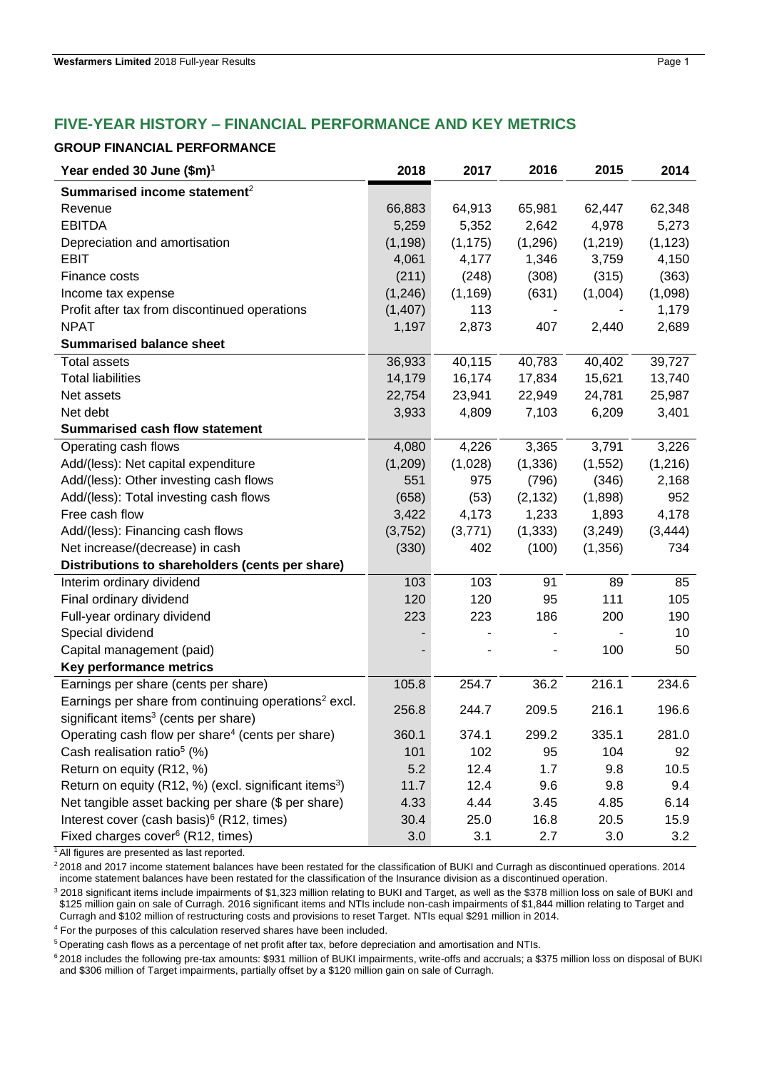# **FIVE-YEAR HISTORY – FINANCIAL PERFORMANCE AND KEY METRICS**

#### **GROUP FINANCIAL PERFORMANCE**

| Year ended 30 June (\$m) <sup>1</sup>                             | 2018     | 2017     | 2016     | 2015     | 2014     |
|-------------------------------------------------------------------|----------|----------|----------|----------|----------|
| Summarised income statement <sup>2</sup>                          |          |          |          |          |          |
| Revenue                                                           | 66,883   | 64,913   | 65,981   | 62,447   | 62,348   |
| <b>EBITDA</b>                                                     | 5,259    | 5,352    | 2,642    | 4,978    | 5,273    |
| Depreciation and amortisation                                     | (1, 198) | (1, 175) | (1,296)  | (1,219)  | (1, 123) |
| <b>EBIT</b>                                                       | 4,061    | 4,177    | 1,346    | 3,759    | 4,150    |
| Finance costs                                                     | (211)    | (248)    | (308)    | (315)    | (363)    |
| Income tax expense                                                | (1, 246) | (1, 169) | (631)    | (1,004)  | (1,098)  |
| Profit after tax from discontinued operations                     | (1, 407) | 113      |          |          | 1,179    |
| <b>NPAT</b>                                                       | 1,197    | 2,873    | 407      | 2,440    | 2,689    |
| <b>Summarised balance sheet</b>                                   |          |          |          |          |          |
| <b>Total assets</b>                                               | 36,933   | 40,115   | 40,783   | 40,402   | 39,727   |
| <b>Total liabilities</b>                                          | 14,179   | 16,174   | 17,834   | 15,621   | 13,740   |
| Net assets                                                        | 22,754   | 23,941   | 22,949   | 24,781   | 25,987   |
| Net debt                                                          | 3,933    | 4,809    | 7,103    | 6,209    | 3,401    |
| <b>Summarised cash flow statement</b>                             |          |          |          |          |          |
| Operating cash flows                                              | 4,080    | 4,226    | 3,365    | 3,791    | 3,226    |
| Add/(less): Net capital expenditure                               | (1,209)  | (1,028)  | (1, 336) | (1, 552) | (1, 216) |
| Add/(less): Other investing cash flows                            | 551      | 975      | (796)    | (346)    | 2,168    |
| Add/(less): Total investing cash flows                            | (658)    | (53)     | (2, 132) | (1,898)  | 952      |
| Free cash flow                                                    | 3,422    | 4,173    | 1,233    | 1,893    | 4,178    |
| Add/(less): Financing cash flows                                  | (3, 752) | (3,771)  | (1, 333) | (3,249)  | (3, 444) |
| Net increase/(decrease) in cash                                   | (330)    | 402      | (100)    | (1,356)  | 734      |
| Distributions to shareholders (cents per share)                   |          |          |          |          |          |
| Interim ordinary dividend                                         | 103      | 103      | 91       | 89       | 85       |
| Final ordinary dividend                                           | 120      | 120      | 95       | 111      | 105      |
| Full-year ordinary dividend                                       | 223      | 223      | 186      | 200      | 190      |
| Special dividend                                                  |          |          |          |          | 10       |
| Capital management (paid)                                         |          |          |          | 100      | 50       |
| Key performance metrics                                           |          |          |          |          |          |
| Earnings per share (cents per share)                              | 105.8    | 254.7    | 36.2     | 216.1    | 234.6    |
| Earnings per share from continuing operations <sup>2</sup> excl.  | 256.8    | 244.7    | 209.5    | 216.1    | 196.6    |
| significant items <sup>3</sup> (cents per share)                  |          |          |          |          |          |
| Operating cash flow per share <sup>4</sup> (cents per share)      | 360.1    | 374.1    | 299.2    | 335.1    | 281.0    |
| Cash realisation ratio <sup>5</sup> (%)                           | 101      | 102      | 95       | 104      | 92       |
| Return on equity (R12, %)                                         | 5.2      | 12.4     | 1.7      | 9.8      | 10.5     |
| Return on equity (R12, %) (excl. significant items <sup>3</sup> ) | 11.7     | 12.4     | 9.6      | 9.8      | 9.4      |
| Net tangible asset backing per share (\$ per share)               | 4.33     | 4.44     | 3.45     | 4.85     | 6.14     |
| Interest cover (cash basis) <sup>6</sup> (R12, times)             | 30.4     | 25.0     | 16.8     | 20.5     | 15.9     |
| Fixed charges cover <sup>6</sup> (R12, times)                     | 3.0      | 3.1      | 2.7      | 3.0      | 3.2      |

<sup>1</sup> All figures are presented as last reported.

<sup>2</sup> 2018 and 2017 income statement balances have been restated for the classification of BUKI and Curragh as discontinued operations. 2014 income statement balances have been restated for the classification of the Insurance division as a discontinued operation.

<sup>3</sup> 2018 significant items include impairments of \$1,323 million relating to BUKI and Target, as well as the \$378 million loss on sale of BUKI and \$125 million gain on sale of Curragh. 2016 significant items and NTIs include non-cash impairments of \$1,844 million relating to Target and Curragh and \$102 million of restructuring costs and provisions to reset Target. NTIs equal \$291 million in 2014.

<sup>4</sup> For the purposes of this calculation reserved shares have been included.

<sup>5</sup>Operating cash flows as a percentage of net profit after tax, before depreciation and amortisation and NTIs.

<sup>6</sup> 2018 includes the following pre-tax amounts: \$931 million of BUKI impairments, write-offs and accruals; a \$375 million loss on disposal of BUKI and \$306 million of Target impairments, partially offset by a \$120 million gain on sale of Curragh.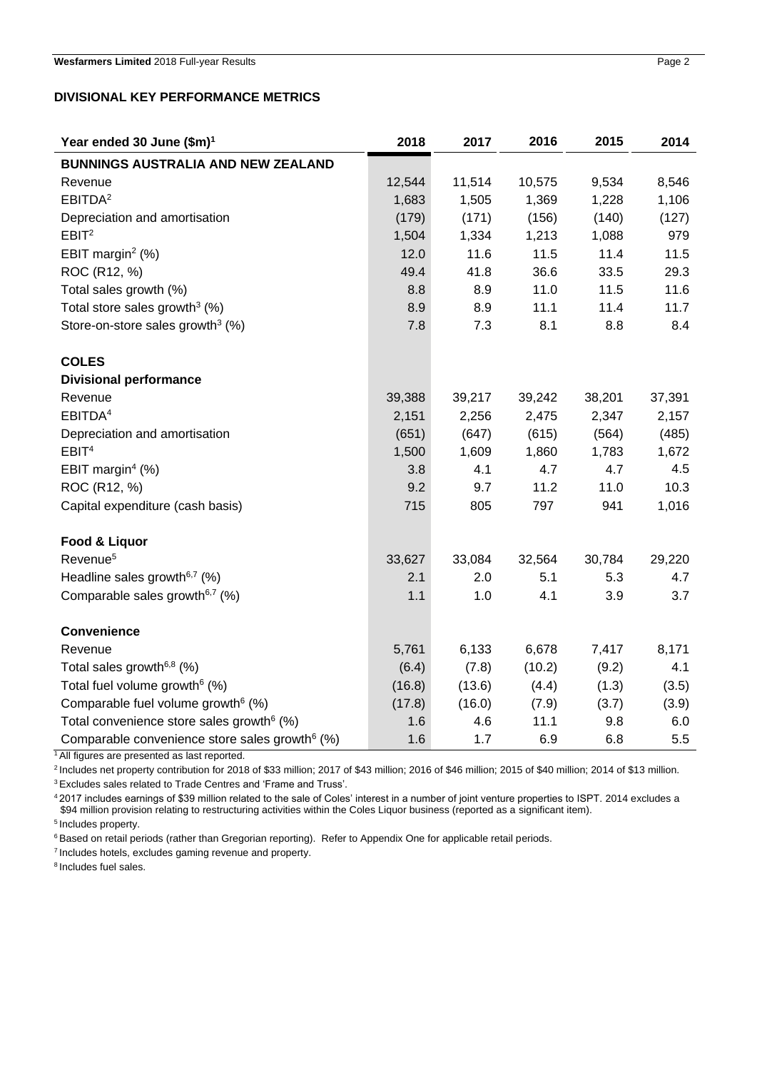### **DIVISIONAL KEY PERFORMANCE METRICS**

| Year ended 30 June (\$m) <sup>1</sup>                      | 2018   | 2017   | 2016   | 2015   | 2014   |
|------------------------------------------------------------|--------|--------|--------|--------|--------|
| <b>BUNNINGS AUSTRALIA AND NEW ZEALAND</b>                  |        |        |        |        |        |
| Revenue                                                    | 12,544 | 11,514 | 10,575 | 9,534  | 8,546  |
| EBITDA <sup>2</sup>                                        | 1,683  | 1,505  | 1,369  | 1,228  | 1,106  |
| Depreciation and amortisation                              | (179)  | (171)  | (156)  | (140)  | (127)  |
| EBIT <sup>2</sup>                                          | 1,504  | 1,334  | 1,213  | 1,088  | 979    |
| EBIT margin <sup>2</sup> $(\%)$                            | 12.0   | 11.6   | 11.5   | 11.4   | 11.5   |
| ROC (R12, %)                                               | 49.4   | 41.8   | 36.6   | 33.5   | 29.3   |
| Total sales growth (%)                                     | 8.8    | 8.9    | 11.0   | 11.5   | 11.6   |
| Total store sales growth <sup>3</sup> $(%)$                | 8.9    | 8.9    | 11.1   | 11.4   | 11.7   |
| Store-on-store sales growth <sup>3</sup> (%)               | 7.8    | 7.3    | 8.1    | 8.8    | 8.4    |
| <b>COLES</b>                                               |        |        |        |        |        |
| <b>Divisional performance</b>                              |        |        |        |        |        |
| Revenue                                                    | 39,388 | 39,217 | 39,242 | 38,201 | 37,391 |
| EBITDA <sup>4</sup>                                        | 2,151  | 2,256  | 2,475  | 2,347  | 2,157  |
| Depreciation and amortisation                              | (651)  | (647)  | (615)  | (564)  | (485)  |
| EBIT <sup>4</sup>                                          | 1,500  | 1,609  | 1,860  | 1,783  | 1,672  |
| EBIT margin <sup>4</sup> $(\%)$                            | 3.8    | 4.1    | 4.7    | 4.7    | 4.5    |
| ROC (R12, %)                                               | 9.2    | 9.7    | 11.2   | 11.0   | 10.3   |
| Capital expenditure (cash basis)                           | 715    | 805    | 797    | 941    | 1,016  |
|                                                            |        |        |        |        |        |
| Food & Liquor                                              |        |        |        |        |        |
| Revenue <sup>5</sup>                                       | 33,627 | 33,084 | 32,564 | 30,784 | 29,220 |
| Headline sales growth <sup><math>6,7</math></sup> (%)      | 2.1    | 2.0    | 5.1    | 5.3    | 4.7    |
| Comparable sales growth <sup>6,7</sup> (%)                 | 1.1    | 1.0    | 4.1    | 3.9    | 3.7    |
| <b>Convenience</b>                                         |        |        |        |        |        |
| Revenue                                                    | 5,761  | 6,133  | 6,678  | 7,417  | 8,171  |
| Total sales growth <sup>6,8</sup> (%)                      | (6.4)  | (7.8)  | (10.2) | (9.2)  | 4.1    |
| Total fuel volume growth <sup>6</sup> (%)                  | (16.8) | (13.6) | (4.4)  | (1.3)  | (3.5)  |
| Comparable fuel volume growth <sup>6</sup> (%)             | (17.8) | (16.0) | (7.9)  | (3.7)  | (3.9)  |
| Total convenience store sales growth <sup>6</sup> (%)      | 1.6    | 4.6    | 11.1   | 9.8    | 6.0    |
| Comparable convenience store sales growth <sup>6</sup> (%) | 1.6    | 1.7    | 6.9    | 6.8    | 5.5    |

<sup>1</sup> All figures are presented as last reported.

<sup>2</sup> Includes net property contribution for 2018 of \$33 million; 2017 of \$43 million; 2016 of \$46 million; 2015 of \$40 million; 2014 of \$13 million.

<sup>3</sup>Excludes sales related to Trade Centres and 'Frame and Truss'.

<sup>4</sup>2017 includes earnings of \$39 million related to the sale of Coles' interest in a number of joint venture properties to ISPT. 2014 excludes a \$94 million provision relating to restructuring activities within the Coles Liquor business (reported as a significant item).

<sup>5</sup> Includes property.

<sup>6</sup> Based on retail periods (rather than Gregorian reporting). Refer to Appendix One for applicable retail periods.

<sup>7</sup>Includes hotels, excludes gaming revenue and property.

<sup>8</sup> Includes fuel sales.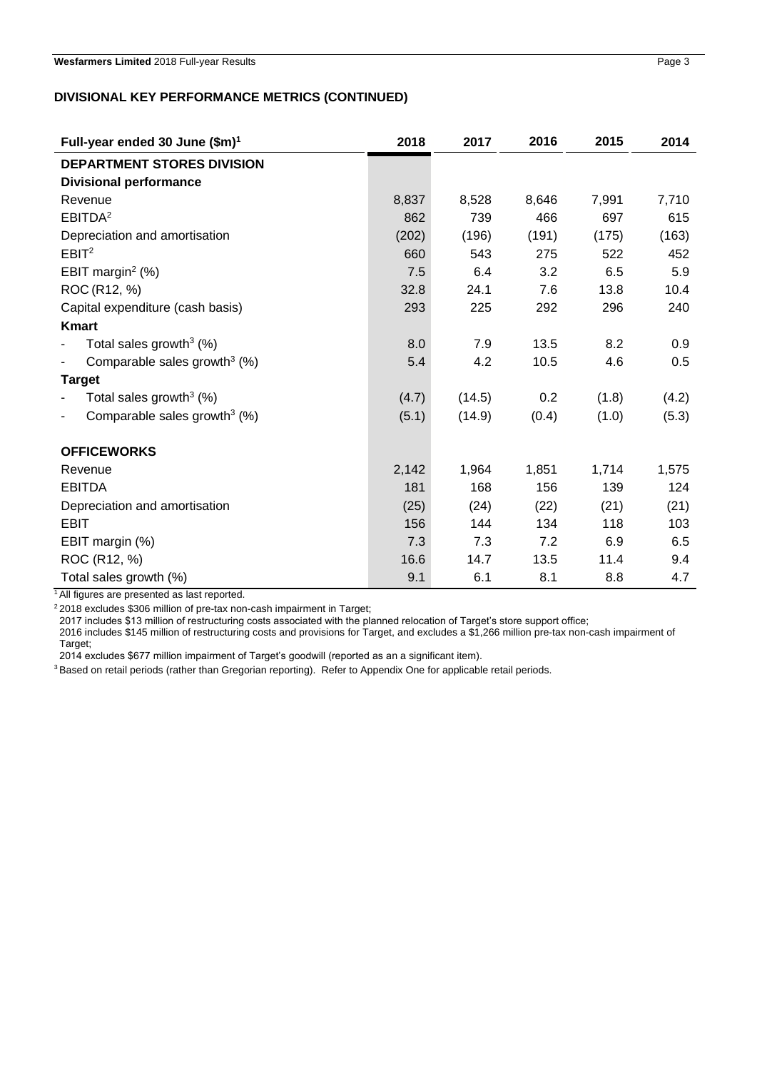### **DIVISIONAL KEY PERFORMANCE METRICS (CONTINUED)**

| Full-year ended 30 June (\$m) <sup>1</sup>                           | 2018  | 2017   | 2016  | 2015  | 2014  |
|----------------------------------------------------------------------|-------|--------|-------|-------|-------|
| <b>DEPARTMENT STORES DIVISION</b>                                    |       |        |       |       |       |
| <b>Divisional performance</b>                                        |       |        |       |       |       |
| Revenue                                                              | 8,837 | 8,528  | 8,646 | 7,991 | 7,710 |
| EBITDA <sup>2</sup>                                                  | 862   | 739    | 466   | 697   | 615   |
| Depreciation and amortisation                                        | (202) | (196)  | (191) | (175) | (163) |
| EBIT <sup>2</sup>                                                    | 660   | 543    | 275   | 522   | 452   |
| EBIT margin <sup>2</sup> $(\%)$                                      | 7.5   | 6.4    | 3.2   | 6.5   | 5.9   |
| ROC (R12, %)                                                         | 32.8  | 24.1   | 7.6   | 13.8  | 10.4  |
| Capital expenditure (cash basis)                                     | 293   | 225    | 292   | 296   | 240   |
| <b>Kmart</b>                                                         |       |        |       |       |       |
| Total sales growth $3$ (%)                                           | 8.0   | 7.9    | 13.5  | 8.2   | 0.9   |
| Comparable sales growth <sup>3</sup> $(%)$                           | 5.4   | 4.2    | 10.5  | 4.6   | 0.5   |
| <b>Target</b>                                                        |       |        |       |       |       |
| Total sales growth $3$ (%)                                           | (4.7) | (14.5) | 0.2   | (1.8) | (4.2) |
| Comparable sales growth <sup>3</sup> (%)<br>$\overline{\phantom{a}}$ | (5.1) | (14.9) | (0.4) | (1.0) | (5.3) |
| <b>OFFICEWORKS</b>                                                   |       |        |       |       |       |
| Revenue                                                              | 2,142 | 1,964  | 1,851 | 1,714 | 1,575 |
| <b>EBITDA</b>                                                        | 181   | 168    | 156   | 139   | 124   |
| Depreciation and amortisation                                        | (25)  | (24)   | (22)  | (21)  | (21)  |
| <b>EBIT</b>                                                          | 156   | 144    | 134   | 118   | 103   |
| EBIT margin (%)                                                      | 7.3   | 7.3    | 7.2   | 6.9   | 6.5   |
| ROC (R12, %)                                                         | 16.6  | 14.7   | 13.5  | 11.4  | 9.4   |
| Total sales growth (%)                                               | 9.1   | 6.1    | 8.1   | 8.8   | 4.7   |

<sup>1</sup> All figures are presented as last reported.

<sup>2</sup>2018 excludes \$306 million of pre-tax non-cash impairment in Target;

2017 includes \$13 million of restructuring costs associated with the planned relocation of Target's store support office;

2016 includes \$145 million of restructuring costs and provisions for Target, and excludes a \$1,266 million pre-tax non-cash impairment of Target;

2014 excludes \$677 million impairment of Target's goodwill (reported as an a significant item).

3 Based on retail periods (rather than Gregorian reporting). Refer to Appendix One for applicable retail periods.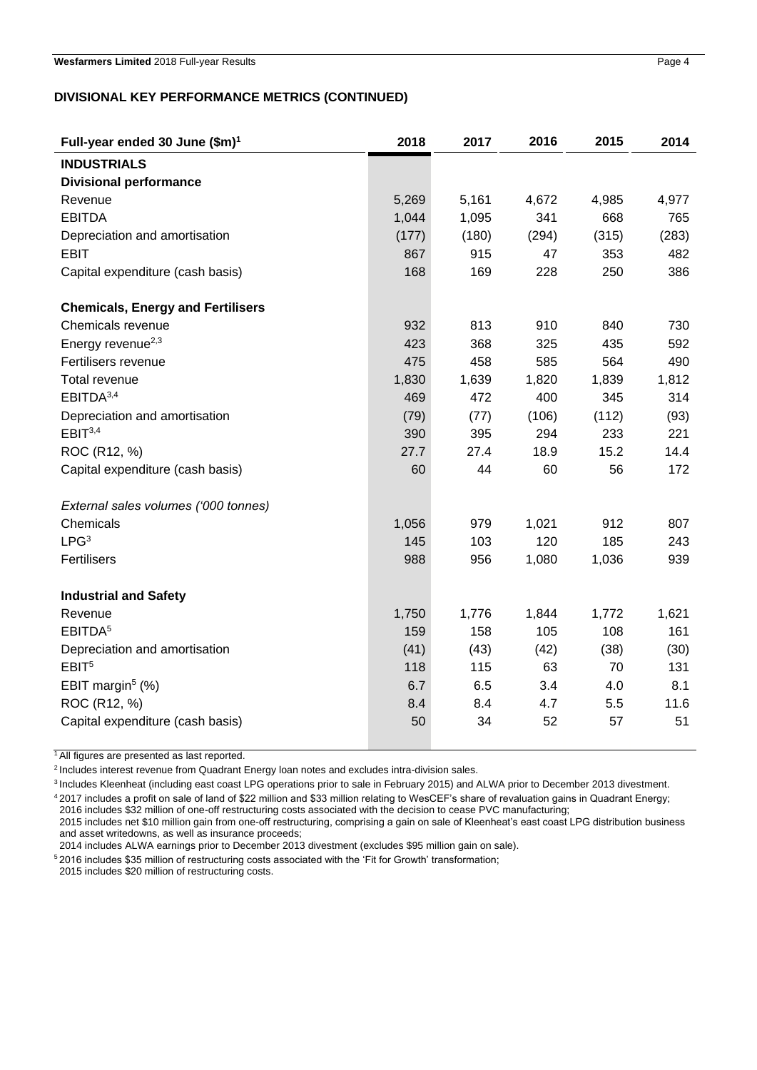## **DIVISIONAL KEY PERFORMANCE METRICS (CONTINUED)**

| Full-year ended 30 June (\$m) <sup>1</sup> | 2018  | 2017  | 2016  | 2015  | 2014  |
|--------------------------------------------|-------|-------|-------|-------|-------|
| <b>INDUSTRIALS</b>                         |       |       |       |       |       |
| <b>Divisional performance</b>              |       |       |       |       |       |
| Revenue                                    | 5,269 | 5,161 | 4,672 | 4,985 | 4,977 |
| <b>EBITDA</b>                              | 1,044 | 1,095 | 341   | 668   | 765   |
| Depreciation and amortisation              | (177) | (180) | (294) | (315) | (283) |
| <b>EBIT</b>                                | 867   | 915   | 47    | 353   | 482   |
| Capital expenditure (cash basis)           | 168   | 169   | 228   | 250   | 386   |
| <b>Chemicals, Energy and Fertilisers</b>   |       |       |       |       |       |
| Chemicals revenue                          | 932   | 813   | 910   | 840   | 730   |
| Energy revenue <sup>2,3</sup>              | 423   | 368   | 325   | 435   | 592   |
| Fertilisers revenue                        | 475   | 458   | 585   | 564   | 490   |
| Total revenue                              | 1,830 | 1,639 | 1,820 | 1,839 | 1,812 |
| EBITDA <sup>3,4</sup>                      | 469   | 472   | 400   | 345   | 314   |
| Depreciation and amortisation              | (79)  | (77)  | (106) | (112) | (93)  |
| EBIT <sup>3,4</sup>                        | 390   | 395   | 294   | 233   | 221   |
| ROC (R12, %)                               | 27.7  | 27.4  | 18.9  | 15.2  | 14.4  |
| Capital expenditure (cash basis)           | 60    | 44    | 60    | 56    | 172   |
| External sales volumes ('000 tonnes)       |       |       |       |       |       |
| Chemicals                                  | 1,056 | 979   | 1,021 | 912   | 807   |
| LPG <sup>3</sup>                           | 145   | 103   | 120   | 185   | 243   |
| Fertilisers                                | 988   | 956   | 1,080 | 1,036 | 939   |
| <b>Industrial and Safety</b>               |       |       |       |       |       |
| Revenue                                    | 1,750 | 1,776 | 1,844 | 1,772 | 1,621 |
| EBITDA <sup>5</sup>                        | 159   | 158   | 105   | 108   | 161   |
| Depreciation and amortisation              | (41)  | (43)  | (42)  | (38)  | (30)  |
| EBIT <sup>5</sup>                          | 118   | 115   | 63    | 70    | 131   |
| EBIT margin <sup>5</sup> $(%)$             | 6.7   | 6.5   | 3.4   | 4.0   | 8.1   |
| ROC (R12, %)                               | 8.4   | 8.4   | 4.7   | 5.5   | 11.6  |
| Capital expenditure (cash basis)           | 50    | 34    | 52    | 57    | 51    |

<sup>1</sup> All figures are presented as last reported.

<sup>2</sup> Includes interest revenue from Quadrant Energy loan notes and excludes intra-division sales.

<sup>3</sup> Includes Kleenheat (including east coast LPG operations prior to sale in February 2015) and ALWA prior to December 2013 divestment.

<sup>4</sup>2017 includes a profit on sale of land of \$22 million and \$33 million relating to WesCEF's share of revaluation gains in Quadrant Energy; 2016 includes \$32 million of one-off restructuring costs associated with the decision to cease PVC manufacturing;

2015 includes net \$10 million gain from one-off restructuring, comprising a gain on sale of Kleenheat's east coast LPG distribution business and asset writedowns, as well as insurance proceeds;

2014 includes ALWA earnings prior to December 2013 divestment (excludes \$95 million gain on sale).

<sup>5</sup>2016 includes \$35 million of restructuring costs associated with the 'Fit for Growth' transformation;

2015 includes \$20 million of restructuring costs.